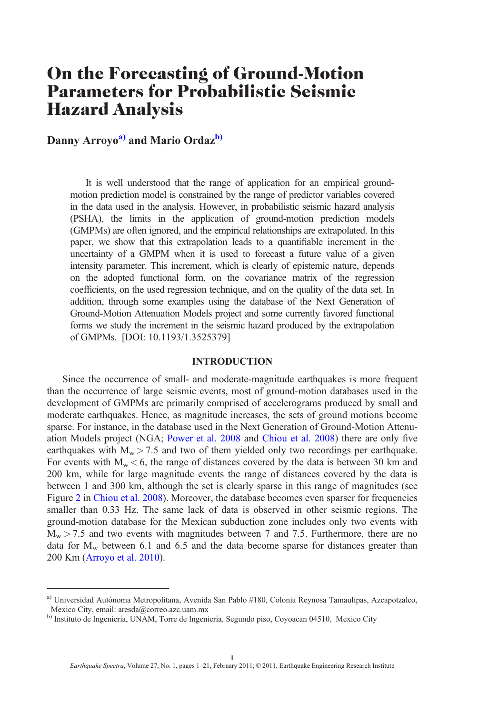# On the Forecasting of Ground-Motion Parameters for Probabilistic Seismic Hazard Analysis

Danny Arroyo<sup>a)</sup> and Mario Ordaz<sup>b)</sup>

It is well understood that the range of application for an empirical groundmotion prediction model is constrained by the range of predictor variables covered in the data used in the analysis. However, in probabilistic seismic hazard analysis (PSHA), the limits in the application of ground-motion prediction models (GMPMs) are often ignored, and the empirical relationships are extrapolated. In this paper, we show that this extrapolation leads to a quantifiable increment in the uncertainty of a GMPM when it is used to forecast a future value of a given intensity parameter. This increment, which is clearly of epistemic nature, depends on the adopted functional form, on the covariance matrix of the regression coefficients, on the used regression technique, and on the quality of the data set. In addition, through some examples using the database of the Next Generation of Ground-Motion Attenuation Models project and some currently favored functional forms we study the increment in the seismic hazard produced by the extrapolation of GMPMs. [DOI: 10.1193/1.3525379]

# INTRODUCTION

Since the occurrence of small- and moderate-magnitude earthquakes is more frequent than the occurrence of large seismic events, most of ground-motion databases used in the development of GMPMs are primarily comprised of accelerograms produced by small and moderate earthquakes. Hence, as magnitude increases, the sets of ground motions become sparse. For instance, in the database used in the Next Generation of Ground-Motion Attenuation Models project (NGA; [Power et al. 2008](#page-20-0) and [Chiou et al. 2008](#page-19-0)) there are only five earthquakes with  $M_w > 7.5$  and two of them yielded only two recordings per earthquake. For events with  $M_w < 6$ , the range of distances covered by the data is between 30 km and 200 km, while for large magnitude events the range of distances covered by the data is between 1 and 300 km, although the set is clearly sparse in this range of magnitudes (see Figure [2](#page-12-0) in [Chiou et al. 2008](#page-19-0)). Moreover, the database becomes even sparser for frequencies smaller than 0.33 Hz. The same lack of data is observed in other seismic regions. The ground-motion database for the Mexican subduction zone includes only two events with  $M_w > 7.5$  and two events with magnitudes between 7 and 7.5. Furthermore, there are no data for  $M_w$  between 6.1 and 6.5 and the data become sparse for distances greater than 200 Km [\(Arroyo et al. 2010\)](#page-19-0).

a) Universidad Autónoma Metropolitana, Avenida San Pablo #180, Colonia Reynosa Tamaulipas, Azcapotzalco, Mexico City, email: aresda@correo.azc.uam.mx

b) Instituto de Ingeniería, UNAM, Torre de Ingeniería, Segundo piso, Coyoacan 04510, Mexico City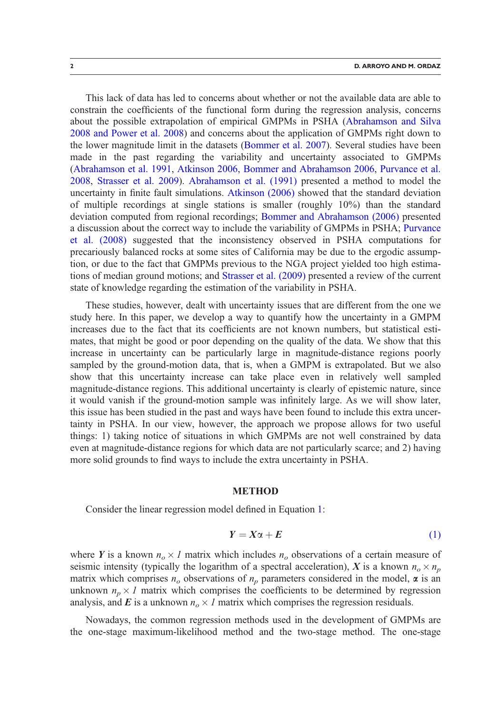This lack of data has led to concerns about whether or not the available data are able to constrain the coefficients of the functional form during the regression analysis, concerns about the possible extrapolation of empirical GMPMs in PSHA [\(Abrahamson and Silva](#page-19-0) [2008 and Power et al. 2008\)](#page-19-0) and concerns about the application of GMPMs right down to the lower magnitude limit in the datasets [\(Bommer et al. 2007](#page-19-0)). Several studies have been made in the past regarding the variability and uncertainty associated to GMPMs ([Abrahamson et al. 1991](#page-19-0), [Atkinson 2006,](#page-19-0) [Bommer and Abrahamson 2006,](#page-19-0) [Purvance et al.](#page-20-0) [2008](#page-20-0), [Strasser et al. 2009\)](#page-20-0). [Abrahamson et al. \(1991\)](#page-19-0) presented a method to model the uncertainty in finite fault simulations. [Atkinson \(2006\)](#page-19-0) showed that the standard deviation of multiple recordings at single stations is smaller (roughly 10%) than the standard deviation computed from regional recordings; [Bommer and Abrahamson \(2006\)](#page-19-0) presented a discussion about the correct way to include the variability of GMPMs in PSHA; [Purvance](#page-20-0) [et al. \(2008\)](#page-20-0) suggested that the inconsistency observed in PSHA computations for precariously balanced rocks at some sites of California may be due to the ergodic assumption, or due to the fact that GMPMs previous to the NGA project yielded too high estimations of median ground motions; and [Strasser et al. \(2009\)](#page-20-0) presented a review of the current state of knowledge regarding the estimation of the variability in PSHA.

These studies, however, dealt with uncertainty issues that are different from the one we study here. In this paper, we develop a way to quantify how the uncertainty in a GMPM increases due to the fact that its coefficients are not known numbers, but statistical estimates, that might be good or poor depending on the quality of the data. We show that this increase in uncertainty can be particularly large in magnitude-distance regions poorly sampled by the ground-motion data, that is, when a GMPM is extrapolated. But we also show that this uncertainty increase can take place even in relatively well sampled magnitude-distance regions. This additional uncertainty is clearly of epistemic nature, since it would vanish if the ground-motion sample was infinitely large. As we will show later, this issue has been studied in the past and ways have been found to include this extra uncertainty in PSHA. In our view, however, the approach we propose allows for two useful things: 1) taking notice of situations in which GMPMs are not well constrained by data even at magnitude-distance regions for which data are not particularly scarce; and 2) having more solid grounds to find ways to include the extra uncertainty in PSHA.

#### **METHOD**

Consider the linear regression model defined in Equation 1:

$$
Y = X\alpha + E \tag{1}
$$

where Y is a known  $n_o \times 1$  matrix which includes  $n_o$  observations of a certain measure of seismic intensity (typically the logarithm of a spectral acceleration), X is a known  $n_o \times n_p$ matrix which comprises  $n<sub>o</sub>$  observations of  $n<sub>p</sub>$  parameters considered in the model,  $\alpha$  is an unknown  $n_p \times I$  matrix which comprises the coefficients to be determined by regression analysis, and E is a unknown  $n_o \times 1$  matrix which comprises the regression residuals.

Nowadays, the common regression methods used in the development of GMPMs are the one-stage maximum-likelihood method and the two-stage method. The one-stage

<span id="page-1-0"></span>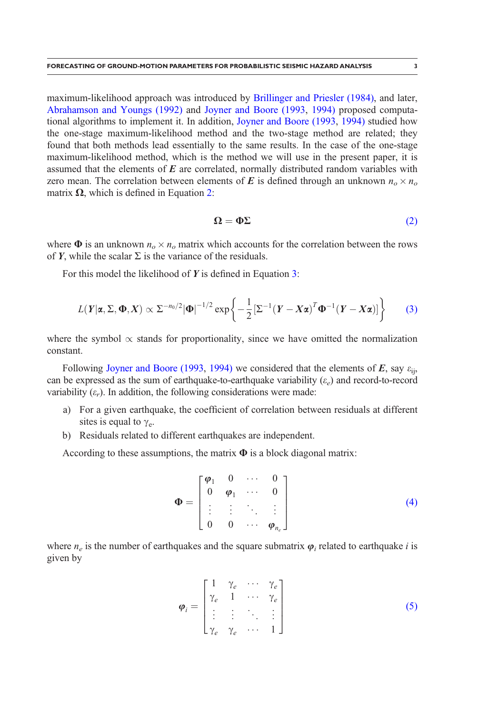<span id="page-2-0"></span>maximum-likelihood approach was introduced by [Brillinger and Priesler \(1984\)](#page-19-0), and later, [Abrahamson and Youngs \(1992\)](#page-19-0) and [Joyner and Boore \(1993,](#page-19-0) [1994\)](#page-20-0) proposed computational algorithms to implement it. In addition, [Joyner and Boore \(1993,](#page-19-0) [1994\)](#page-20-0) studied how the one-stage maximum-likelihood method and the two-stage method are related; they found that both methods lead essentially to the same results. In the case of the one-stage maximum-likelihood method, which is the method we will use in the present paper, it is assumed that the elements of  $E$  are correlated, normally distributed random variables with zero mean. The correlation between elements of E is defined through an unknown  $n_o \times n_o$ matrix  $\Omega$ , which is defined in Equation 2:

$$
\Omega = \Phi \Sigma \tag{2}
$$

where  $\Phi$  is an unknown  $n_o \times n_o$  matrix which accounts for the correlation between the rows of Y, while the scalar  $\Sigma$  is the variance of the residuals.

For this model the likelihood of  $Y$  is defined in Equation 3:

$$
L(Y|\boldsymbol{\alpha}, \Sigma, \boldsymbol{\Phi}, X) \propto \Sigma^{-n_0/2} |\boldsymbol{\Phi}|^{-1/2} \exp\left\{-\frac{1}{2}[\Sigma^{-1}(Y - X\boldsymbol{\alpha})^T \boldsymbol{\Phi}^{-1}(Y - X\boldsymbol{\alpha})]\right\}
$$
(3)

where the symbol  $\propto$  stands for proportionality, since we have omitted the normalization constant.

Following [Joyner and Boore \(1993](#page-19-0), [1994\)](#page-20-0) we considered that the elements of  $E$ , say  $\varepsilon_{ii}$ , can be expressed as the sum of earthquake-to-earthquake variability  $(\varepsilon_e)$  and record-to-record variability  $(\varepsilon_r)$ . In addition, the following considerations were made:

- a) For a given earthquake, the coefficient of correlation between residuals at different sites is equal to  $\gamma_e$ .
- b) Residuals related to different earthquakes are independent.

According to these assumptions, the matrix  $\Phi$  is a block diagonal matrix:

$$
\Phi = \begin{bmatrix} \varphi_1 & 0 & \cdots & 0 \\ 0 & \varphi_1 & \cdots & 0 \\ \vdots & \vdots & \ddots & \vdots \\ 0 & 0 & \cdots & \varphi_{n_e} \end{bmatrix}
$$
 (4)

where  $n_e$  is the number of earthquakes and the square submatrix  $\varphi_i$  related to earthquake i is given by

$$
\boldsymbol{\varphi}_{i} = \begin{bmatrix} 1 & \gamma_{e} & \cdots & \gamma_{e} \\ \gamma_{e} & 1 & \cdots & \gamma_{e} \\ \vdots & \vdots & \ddots & \vdots \\ \gamma_{e} & \gamma_{e} & \cdots & 1 \end{bmatrix}
$$
(5)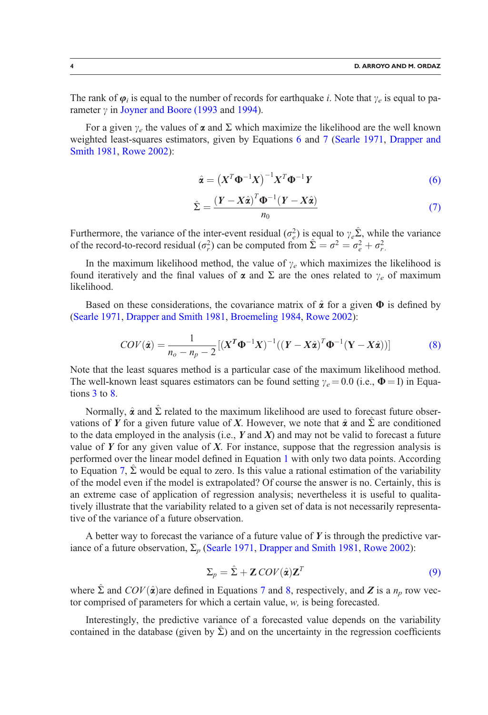<span id="page-3-0"></span>The rank of  $\varphi_i$  is equal to the number of records for earthquake i. Note that  $\gamma_e$  is equal to parameter  $\gamma$  in [Joyner and Boore \(1993](#page-19-0) and [1994](#page-20-0)).

For a given  $\gamma_e$  the values of  $\alpha$  and  $\Sigma$  which maximize the likelihood are the well known weighted least-squares estimators, given by Equations 6 and 7 [\(Searle 1971,](#page-20-0) [Drapper and](#page-19-0) [Smith 1981,](#page-19-0) [Rowe 2002\)](#page-20-0):

$$
\hat{\mathbf{\alpha}} = \left( X^T \mathbf{\Phi}^{-1} X \right)^{-1} X^T \mathbf{\Phi}^{-1} Y \tag{6}
$$

$$
\hat{\Sigma} = \frac{(Y - X\hat{\alpha})^T \Phi^{-1} (Y - X\hat{\alpha})}{n_0} \tag{7}
$$

Furthermore, the variance of the inter-event residual ( $\sigma_e^2$ ) is equal to  $\gamma_e \hat{\Sigma}$ , while the variance of the record-to-record residual  $(\sigma_r^2)$  can be computed from  $\hat{\Sigma} = \sigma^2 = \sigma_e^2 + \sigma_r^2$ .

In the maximum likelihood method, the value of  $\gamma_e$  which maximizes the likelihood is found iteratively and the final values of  $\alpha$  and  $\Sigma$  are the ones related to  $\gamma_e$  of maximum likelihood.

Based on these considerations, the covariance matrix of  $\hat{\alpha}$  for a given  $\Phi$  is defined by ([Searle 1971](#page-20-0), [Drapper and Smith 1981](#page-19-0), [Broemeling 1984,](#page-19-0) [Rowe 2002](#page-20-0)):

$$
COV(\hat{\mathbf{a}}) = \frac{1}{n_o - n_p - 2} \left[ \left( \boldsymbol{X}^T \boldsymbol{\Phi}^{-1} \boldsymbol{X} \right)^{-1} \left( \left( \boldsymbol{Y} - \boldsymbol{X} \hat{\boldsymbol{a}} \right)^T \boldsymbol{\Phi}^{-1} \left( \boldsymbol{Y} - \boldsymbol{X} \hat{\boldsymbol{a}} \right) \right) \right]
$$
(8)

Note that the least squares method is a particular case of the maximum likelihood method. The well-known least squares estimators can be found setting  $\gamma_e = 0.0$  (i.e.,  $\Phi = I$ ) in Equations [3](#page-2-0) to 8.

Normally,  $\hat{\alpha}$  and  $\hat{\Sigma}$  related to the maximum likelihood are used to forecast future observations of Y for a given future value of X. However, we note that  $\hat{\alpha}$  and  $\hat{\Sigma}$  are conditioned to the data employed in the analysis (i.e.,  $Y$  and  $X$ ) and may not be valid to forecast a future value of  $Y$  for any given value of  $X$ . For instance, suppose that the regression analysis is performed over the linear model defined in Equation [1](#page-1-0) with only two data points. According to Equation 7,  $\hat{\Sigma}$  would be equal to zero. Is this value a rational estimation of the variability of the model even if the model is extrapolated? Of course the answer is no. Certainly, this is an extreme case of application of regression analysis; nevertheless it is useful to qualitatively illustrate that the variability related to a given set of data is not necessarily representative of the variance of a future observation.

A better way to forecast the variance of a future value of  $Y$  is through the predictive variance of a future observation,  $\Sigma_p$  [\(Searle 1971,](#page-20-0) [Drapper and Smith 1981](#page-19-0), [Rowe 2002\)](#page-20-0):

$$
\Sigma_p = \hat{\Sigma} + \mathbf{Z} \, \text{COV}(\hat{\mathbf{\alpha}}) \mathbf{Z}^T \tag{9}
$$

where  $\hat{\Sigma}$  and  $COV(\hat{\alpha})$  are defined in Equations 7 and 8, respectively, and Z is a  $n_p$  row vector comprised of parameters for which a certain value, w, is being forecasted.

Interestingly, the predictive variance of a forecasted value depends on the variability contained in the database (given by  $\Sigma$ ) and on the uncertainty in the regression coefficients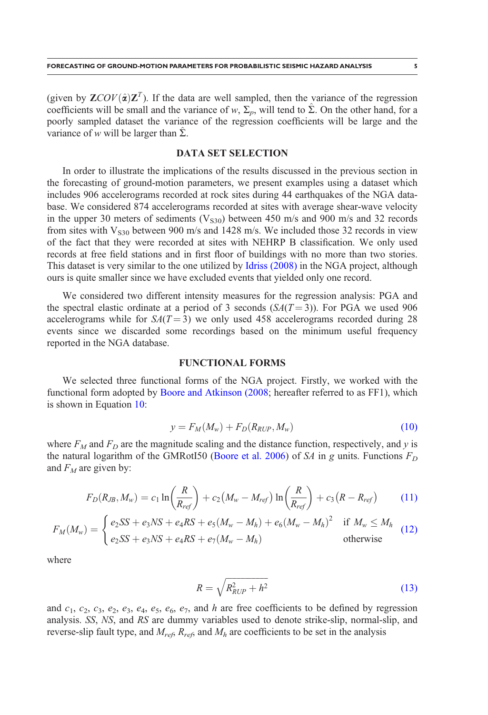(given by  $\mathbf{ZCOV}(\hat{\alpha})\mathbf{Z}^T$ ). If the data are well sampled, then the variance of the regression coefficients will be small and the variance of w,  $\Sigma_p$ , will tend to  $\hat{\Sigma}$ . On the other hand, for a poorly sampled dataset the variance of the regression coefficients will be large and the variance of w will be larger than  $\Sigma$ .

## DATA SET SELECTION

In order to illustrate the implications of the results discussed in the previous section in the forecasting of ground-motion parameters, we present examples using a dataset which includes 906 accelerograms recorded at rock sites during 44 earthquakes of the NGA database. We considered 874 accelerograms recorded at sites with average shear-wave velocity in the upper 30 meters of sediments ( $V<sub>S30</sub>$ ) between 450 m/s and 900 m/s and 32 records from sites with  $V_{\rm S30}$  between 900 m/s and 1428 m/s. We included those 32 records in view of the fact that they were recorded at sites with NEHRP B classification. We only used records at free field stations and in first floor of buildings with no more than two stories. This dataset is very similar to the one utilized by [Idriss \(2008\)](#page-19-0) in the NGA project, although ours is quite smaller since we have excluded events that yielded only one record.

We considered two different intensity measures for the regression analysis: PGA and the spectral elastic ordinate at a period of 3 seconds  $(SA(T=3))$ . For PGA we used 906 accelerograms while for  $S_A(T=3)$  we only used 458 accelerograms recorded during 28 events since we discarded some recordings based on the minimum useful frequency reported in the NGA database.

## FUNCTIONAL FORMS

We selected three functional forms of the NGA project. Firstly, we worked with the functional form adopted by [Boore and Atkinson \(2008](#page-19-0); hereafter referred to as FF1), which is shown in Equation 10:

$$
y = F_M(M_w) + F_D(R_{RUP}, M_w) \tag{10}
$$

where  $F_M$  and  $F_D$  are the magnitude scaling and the distance function, respectively, and y is the natural logarithm of the GMRotI50 ([Boore et al. 2006\)](#page-19-0) of SA in g units. Functions  $F_D$ and  $F_M$  are given by:

$$
F_D(R_{JB}, M_w) = c_1 \ln \left(\frac{R}{R_{ref}}\right) + c_2 \left(M_w - M_{ref}\right) \ln \left(\frac{R}{R_{ref}}\right) + c_3 \left(R - R_{ref}\right) \tag{11}
$$

$$
F_M(M_w) = \begin{cases} e_2SS + e_3NS + e_4RS + e_5(M_w - M_h) + e_6(M_w - M_h)^2 & \text{if } M_w \le M_h \\ e_2SS + e_3NS + e_4RS + e_7(M_w - M_h) & \text{otherwise} \end{cases}
$$
(12)

where

$$
R = \sqrt{R_{RUP}^2 + h^2} \tag{13}
$$

and  $c_1$ ,  $c_2$ ,  $c_3$ ,  $e_2$ ,  $e_3$ ,  $e_4$ ,  $e_5$ ,  $e_6$ ,  $e_7$ , and h are free coefficients to be defined by regression analysis. SS, NS, and RS are dummy variables used to denote strike-slip, normal-slip, and reverse-slip fault type, and  $M_{ref}$ ,  $R_{ref}$ , and  $M_h$  are coefficients to be set in the analysis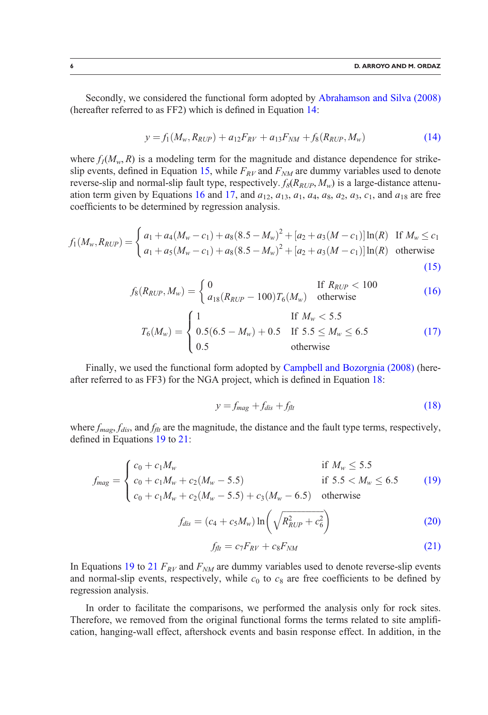Secondly, we considered the functional form adopted by [Abrahamson and Silva \(2008\)](#page-19-0) (hereafter referred to as FF2) which is defined in Equation 14:

$$
y = f_1(M_w, R_{RUP}) + a_{12}F_{RV} + a_{13}F_{NM} + f_8(R_{RUP}, M_w)
$$
(14)

where  $f_1(M_w, R)$  is a modeling term for the magnitude and distance dependence for strikeslip events, defined in Equation 15, while  $F_{RV}$  and  $F_{NM}$  are dummy variables used to denote reverse-slip and normal-slip fault type, respectively.  $f_8(R_{RUP}, M_w)$  is a large-distance attenuation term given by Equations 16 and 17, and  $a_{12}$ ,  $a_{13}$ ,  $a_1$ ,  $a_4$ ,  $a_8$ ,  $a_2$ ,  $a_3$ ,  $c_1$ , and  $a_{18}$  are free coefficients to be determined by regression analysis.

$$
f_1(M_w, R_{RUP}) = \begin{cases} a_1 + a_4(M_w - c_1) + a_8(8.5 - M_w)^2 + [a_2 + a_3(M - c_1)]\ln(R) & \text{If } M_w \le c_1 \\ a_1 + a_5(M_w - c_1) + a_8(8.5 - M_w)^2 + [a_2 + a_3(M - c_1)]\ln(R) & \text{otherwise} \end{cases}
$$
(15)

$$
f_8(R_{RUP}, M_w) = \begin{cases} 0 & \text{If } R_{RUP} < 100\\ a_{18}(R_{RUP} - 100)T_6(M_w) & \text{otherwise} \end{cases}
$$
(16)

$$
T_6(M_w) = \begin{cases} 1 & \text{If } M_w < 5.5\\ 0.5(6.5 - M_w) + 0.5 & \text{If } 5.5 \le M_w \le 6.5\\ 0.5 & \text{otherwise} \end{cases}
$$
(17)

Finally, we used the functional form adopted by [Campbell and Bozorgnia \(2008\)](#page-19-0) (hereafter referred to as FF3) for the NGA project, which is defined in Equation 18:

$$
y = f_{mag} + f_{dis} + f_{flt} \tag{18}
$$

where  $f_{mag}$ ,  $f_{dis}$ , and  $f_{ft}$  are the magnitude, the distance and the fault type terms, respectively, defined in Equations 19 to 21:

$$
f_{mag} = \begin{cases} c_0 + c_1 M_w & \text{if } M_w \le 5.5\\ c_0 + c_1 M_w + c_2 (M_w - 5.5) & \text{if } 5.5 < M_w \le 6.5\\ c_0 + c_1 M_w + c_2 (M_w - 5.5) + c_3 (M_w - 6.5) & \text{otherwise} \end{cases}
$$
(19)

$$
f_{dis} = (c_4 + c_5 M_w) \ln \left( \sqrt{R_{RUP}^2 + c_6^2} \right)
$$
 (20)

$$
f_{\text{ft}} = c_7 F_{\text{RV}} + c_8 F_{\text{NM}} \tag{21}
$$

In Equations 19 to 21  $F_{RV}$  and  $F_{NM}$  are dummy variables used to denote reverse-slip events and normal-slip events, respectively, while  $c_0$  to  $c_8$  are free coefficients to be defined by regression analysis.

In order to facilitate the comparisons, we performed the analysis only for rock sites. Therefore, we removed from the original functional forms the terms related to site amplification, hanging-wall effect, aftershock events and basin response effect. In addition, in the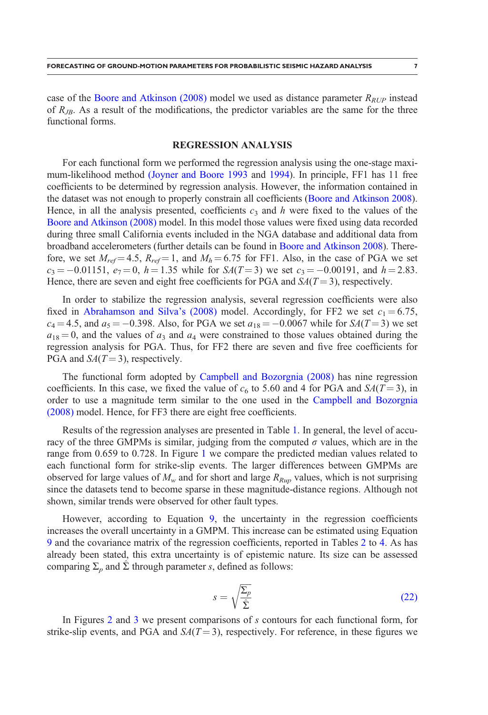case of the [Boore and Atkinson \(2008\)](#page-19-0) model we used as distance parameter  $R_{RUP}$  instead of  $R_{JB}$ . As a result of the modifications, the predictor variables are the same for the three functional forms.

#### REGRESSION ANALYSIS

For each functional form we performed the regression analysis using the one-stage maximum-likelihood method [\(Joyner and Boore 1993](#page-19-0) and [1994](#page-20-0)). In principle, FF1 has 11 free coefficients to be determined by regression analysis. However, the information contained in the dataset was not enough to properly constrain all coefficients [\(Boore and Atkinson 2008\)](#page-19-0). Hence, in all the analysis presented, coefficients  $c_3$  and h were fixed to the values of the [Boore and Atkinson \(2008\)](#page-19-0) model. In this model those values were fixed using data recorded during three small California events included in the NGA database and additional data from broadband accelerometers (further details can be found in [Boore and Atkinson 2008\)](#page-19-0). Therefore, we set  $M_{ref} = 4.5$ ,  $R_{ref} = 1$ , and  $M_h = 6.75$  for FF1. Also, in the case of PGA we set  $c_3 = -0.01151$ ,  $e_7 = 0$ ,  $h = 1.35$  while for  $S_A(T = 3)$  we set  $c_3 = -0.00191$ , and  $h = 2.83$ . Hence, there are seven and eight free coefficients for PGA and  $SA(T=3)$ , respectively.

In order to stabilize the regression analysis, several regression coefficients were also fixed in [Abrahamson and Silva's \(2008\)](#page-19-0) model. Accordingly, for FF2 we set  $c_1 = 6.75$ ,  $c_4 = 4.5$ , and  $a_5 = -0.398$ . Also, for PGA we set  $a_{18} = -0.0067$  while for  $SA(T = 3)$  we set  $a_{18} = 0$ , and the values of  $a_3$  and  $a_4$  were constrained to those values obtained during the regression analysis for PGA. Thus, for FF2 there are seven and five free coefficients for PGA and  $SA(T = 3)$ , respectively.

The functional form adopted by [Campbell and Bozorgnia \(2008\)](#page-19-0) has nine regression coefficients. In this case, we fixed the value of  $c_6$  to 5.60 and 4 for PGA and  $SA(T=3)$ , in order to use a magnitude term similar to the one used in the [Campbell and Bozorgnia](#page-19-0) [\(2008\)](#page-19-0) model. Hence, for FF3 there are eight free coefficients.

Results of the regression analyses are presented in Table [1](#page-7-0). In general, the level of accuracy of the three GMPMs is similar, judging from the computed  $\sigma$  values, which are in the range from 0.659 to 0.728. In Figure [1](#page-8-0) we compare the predicted median values related to each functional form for strike-slip events. The larger differences between GMPMs are observed for large values of  $M_w$  and for short and large  $R_{Run}$  values, which is not surprising since the datasets tend to become sparse in these magnitude-distance regions. Although not shown, similar trends were observed for other fault types.

However, according to Equation [9,](#page-3-0) the uncertainty in the regression coefficients increases the overall uncertainty in a GMPM. This increase can be estimated using Equation [9](#page-3-0) and the covariance matrix of the regression coefficients, reported in Tables [2](#page-9-0) to [4.](#page-11-0) As has already been stated, this extra uncertainty is of epistemic nature. Its size can be assessed comparing  $\Sigma_p$  and  $\Sigma$  through parameter s, defined as follows:

$$
s = \sqrt{\frac{\Sigma_p}{\hat{\Sigma}}}
$$
 (22)

In Figures  $2$  and  $3$  we present comparisons of  $s$  contours for each functional form, for strike-slip events, and PGA and  $S_A(T=3)$ , respectively. For reference, in these figures we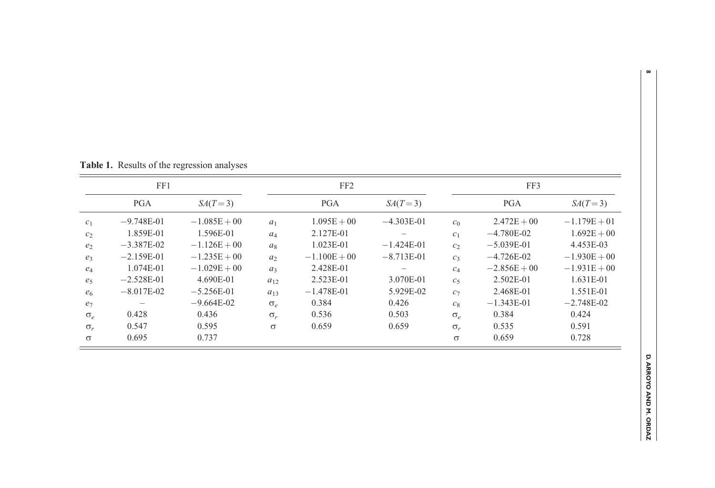| FF1            |              |                | FF <sub>2</sub> |                |              | FF3            |                |                |
|----------------|--------------|----------------|-----------------|----------------|--------------|----------------|----------------|----------------|
|                | <b>PGA</b>   | $SA(T=3)$      |                 | <b>PGA</b>     | $SA(T=3)$    |                | <b>PGA</b>     | $SA(T=3)$      |
| c <sub>1</sub> | $-9.748E-01$ | $-1.085E + 00$ | a <sub>1</sub>  | $1.095E + 00$  | $-4.303E-01$ | c <sub>0</sub> | $2.472E + 00$  | $-1.179E + 01$ |
| c <sub>2</sub> | 1.859E-01    | 1.596E-01      | $a_4$           | 2.127E-01      |              | c <sub>1</sub> | $-4.780E-02$   | $1.692E + 00$  |
| e <sub>2</sub> | $-3.387E-02$ | $-1.126E + 00$ | $a_8$           | 1.023E-01      | $-1.424E-01$ | c <sub>2</sub> | $-5.039E-01$   | 4.453E-03      |
| $e_3$          | $-2.159E-01$ | $-1.235E + 00$ | a <sub>2</sub>  | $-1.100E + 00$ | $-8.713E-01$ | $C_3$          | $-4.726E-02$   | $-1.930E + 00$ |
| $e_4$          | 1.074E-01    | $-1.029E + 00$ | $a_3$           | 2.428E-01      |              | $C_4$          | $-2.856E + 00$ | $-1.931E + 00$ |
| e <sub>5</sub> | $-2.528E-01$ | 4.690E-01      | $a_{12}$        | 2.523E-01      | 3.070E-01    | c <sub>5</sub> | 2.502E-01      | 1.631E-01      |
| e <sub>6</sub> | $-8.017E-02$ | $-5.256E-01$   | $a_{13}$        | $-1.478E-01$   | 5.929E-02    | c <sub>7</sub> | 2.468E-01      | 1.551E-01      |
| e <sub>7</sub> |              | $-9.664E-02$   | $\sigma_{\rho}$ | 0.384          | 0.426        | $c_8$          | $-1.343E-01$   | $-2.748E-02$   |
| $\sigma_e$     | 0.428        | 0.436          | $\sigma_{r}$    | 0.536          | 0.503        | $\sigma_e$     | 0.384          | 0.424          |
| $\sigma_r$     | 0.547        | 0.595          | $\sigma$        | 0.659          | 0.659        | $\sigma_r$     | 0.535          | 0.591          |
| $\sigma$       | 0.695        | 0.737          |                 |                |              | $\sigma$       | 0.659          | 0.728          |

<span id="page-7-0"></span>Table 1. Results of the regression analyses

 $\pmb{\infty}$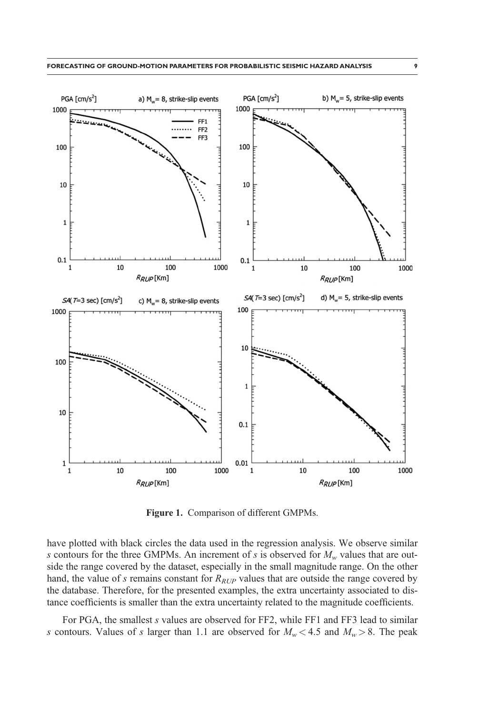<span id="page-8-0"></span>

Figure 1. Comparison of different GMPMs.

have plotted with black circles the data used in the regression analysis. We observe similar s contours for the three GMPMs. An increment of s is observed for  $M_w$  values that are outside the range covered by the dataset, especially in the small magnitude range. On the other hand, the value of s remains constant for  $R_{RUP}$  values that are outside the range covered by the database. Therefore, for the presented examples, the extra uncertainty associated to distance coefficients is smaller than the extra uncertainty related to the magnitude coefficients.

For PGA, the smallest s values are observed for FF2, while FF1 and FF3 lead to similar s contours. Values of s larger than 1.1 are observed for  $M_w < 4.5$  and  $M_w > 8$ . The peak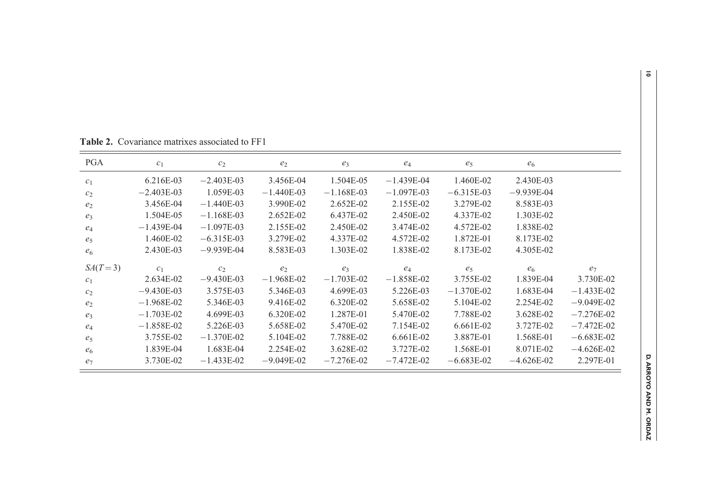| <b>PGA</b>     | c <sub>1</sub> | $c_2$          | $e_2$          | $e_3$          | $e_4$        | $e_5$        | $e_6$          |                |
|----------------|----------------|----------------|----------------|----------------|--------------|--------------|----------------|----------------|
| c <sub>1</sub> | 6.216E-03      | $-2.403E-03$   | 3.456E-04      | 1.504E-05      | $-1.439E-04$ | 1.460E-02    | 2.430E-03      |                |
| c <sub>2</sub> | $-2.403E-03$   | 1.059E-03      | $-1.440E-03$   | $-1.168E-03$   | $-1.097E-03$ | $-6.315E-03$ | $-9.939E-04$   |                |
| e <sub>2</sub> | 3.456E-04      | $-1.440E-03$   | 3.990E-02      | 2.652E-02      | 2.155E-02    | 3.279E-02    | 8.583E-03      |                |
| $e_3$          | 1.504E-05      | $-1.168E-03$   | 2.652E-02      | 6.437E-02      | 2.450E-02    | 4.337E-02    | 1.303E-02      |                |
| $e_4$          | $-1.439E-04$   | $-1.097E-03$   | 2.155E-02      | 2.450E-02      | 3.474E-02    | 4.572E-02    | 1.838E-02      |                |
| $e_5$          | 1.460E-02      | $-6.315E-03$   | 3.279E-02      | 4.337E-02      | 4.572E-02    | 1.872E-01    | 8.173E-02      |                |
| $e_6$          | 2.430E-03      | $-9.939E-04$   | 8.583E-03      | 1.303E-02      | 1.838E-02    | 8.173E-02    | 4.305E-02      |                |
| $SA(T=3)$      | c <sub>1</sub> | c <sub>2</sub> | e <sub>2</sub> | e <sub>3</sub> | $e_4$        | $e_5$        | e <sub>6</sub> | e <sub>7</sub> |
| c <sub>1</sub> | 2.634E-02      | $-9.430E-03$   | $-1.968E-02$   | $-1.703E-02$   | $-1.858E-02$ | 3.755E-02    | 1.839E-04      | 3.730E-02      |
| $c_2$          | $-9.430E-03$   | 3.575E-03      | 5.346E-03      | 4.699E-03      | 5.226E-03    | $-1.370E-02$ | 1.683E-04      | $-1.433E-02$   |
| e <sub>2</sub> | $-1.968E-02$   | 5.346E-03      | 9.416E-02      | 6.320E-02      | 5.658E-02    | 5.104E-02    | 2.254E-02      | $-9.049E-02$   |
| $e_3$          | $-1.703E-02$   | 4.699E-03      | 6.320E-02      | 1.287E-01      | 5.470E-02    | 7.788E-02    | 3.628E-02      | $-7.276E-02$   |
| $e_4$          | $-1.858E-02$   | 5.226E-03      | 5.658E-02      | 5.470E-02      | 7.154E-02    | 6.661E-02    | 3.727E-02      | $-7.472E-02$   |
| e <sub>5</sub> | 3.755E-02      | $-1.370E-02$   | 5.104E-02      | 7.788E-02      | $6.661E-02$  | 3.887E-01    | 1.568E-01      | $-6.683E-02$   |
| e <sub>6</sub> | 1.839E-04      | 1.683E-04      | 2.254E-02      | 3.628E-02      | 3.727E-02    | 1.568E-01    | 8.071E-02      | $-4.626E-02$   |
| $e_7$          | 3.730E-02      | $-1.433E-02$   | $-9.049E-02$   | $-7.276E-02$   | $-7.472E-02$ | $-6.683E-02$ | $-4.626E-02$   | 2.297E-01      |

<span id="page-9-0"></span>Table 2. Covariance matrixes associated to FF1

D. ARROYO AND M. ORDAZ

 $\bar{\circ}$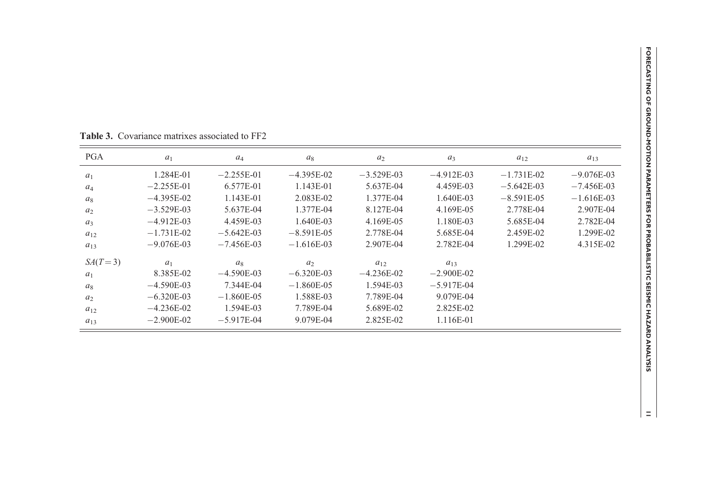| <b>PGA</b> | $a_1$        | $a_4$        | $a_8$          | $a_2$        | $a_3$        | $a_{12}$      | $a_{13}$     |
|------------|--------------|--------------|----------------|--------------|--------------|---------------|--------------|
| $a_1$      | 1.284E-01    | $-2.255E-01$ | $-4.395E-02$   | $-3.529E-03$ | $-4.912E-03$ | $-1.731E-02$  | $-9.076E-03$ |
| $a_4$      | $-2.255E-01$ | 6.577E-01    | 1.143E-01      | 5.637E-04    | 4.459E-03    | $-5.642E-03$  | $-7.456E-03$ |
| $a_8$      | $-4.395E-02$ | 1.143E-01    | 2.083E-02      | 1.377E-04    | 1.640E-03    | $-8.591E-0.5$ | $-1.616E-03$ |
| $a_2$      | $-3.529E-03$ | 5.637E-04    | 1.377E-04      | 8.127E-04    | 4.169E-05    | 2.778E-04     | 2.907E-04    |
| $a_3$      | $-4.912E-03$ | 4.459E-03    | 1.640E-03      | 4.169E-05    | 1.180E-03    | 5.685E-04     | 2.782E-04    |
| $a_{12}$   | $-1.731E-02$ | $-5.642E-03$ | $-8.591E-0.5$  | 2.778E-04    | 5.685E-04    | 2.459E-02     | 1.299E-02    |
| $a_{13}$   | $-9.076E-03$ | $-7.456E-03$ | $-1.616E-03$   | 2.907E-04    | 2.782E-04    | 1.299E-02     | 4.315E-02    |
| $SA(T=3)$  | $a_1$        | $a_8$        | a <sub>2</sub> | $a_{12}$     | $a_{13}$     |               |              |
| $a_1$      | 8.385E-02    | $-4.590E-03$ | $-6.320E-03$   | $-4.236E-02$ | $-2.900E-02$ |               |              |
| $a_8$      | $-4.590E-03$ | 7.344E-04    | $-1.860E-05$   | 1.594E-03    | $-5.917E-04$ |               |              |
| $a_2$      | $-6.320E-03$ | $-1.860E-05$ | 1.588E-03      | 7.789E-04    | 9.079E-04    |               |              |
| $a_{12}$   | $-4.236E-02$ | 1.594E-03    | 7.789E-04      | 5.689E-02    | 2.825E-02    |               |              |
| $a_{13}$   | $-2.900E-02$ | $-5.917E-04$ | 9.079E-04      | 2.825E-02    | 1.116E-01    |               |              |

Table 3. Covariance matrixes associated to FF2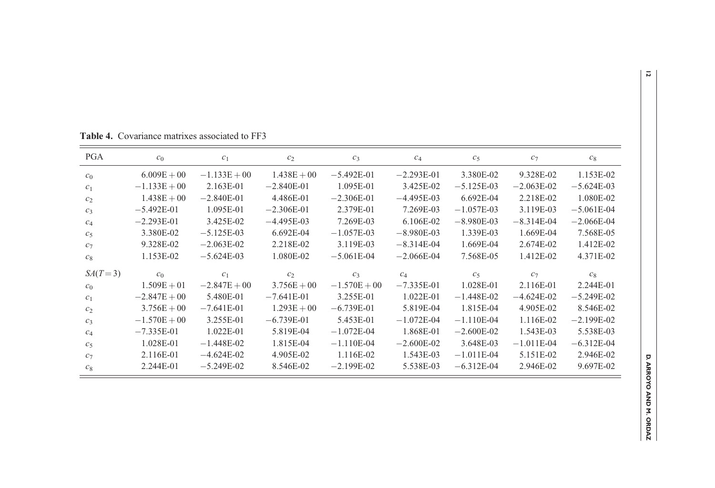| <b>PGA</b>     | c <sub>0</sub> | c <sub>1</sub> | c <sub>2</sub> | $c_3$          | $c_4$        | c <sub>5</sub> | $c_7$        | $c_8$        |
|----------------|----------------|----------------|----------------|----------------|--------------|----------------|--------------|--------------|
| c <sub>0</sub> | $6.009E + 00$  | $-1.133E + 00$ | $1.438E + 00$  | $-5.492E-01$   | $-2.293E-01$ | 3.380E-02      | 9.328E-02    | 1.153E-02    |
| c <sub>1</sub> | $-1.133E + 00$ | 2.163E-01      | $-2.840E-01$   | 1.095E-01      | 3.425E-02    | $-5.125E-03$   | $-2.063E-02$ | $-5.624E-03$ |
| c <sub>2</sub> | $1.438E + 00$  | $-2.840E-01$   | 4.486E-01      | $-2.306E-01$   | $-4.495E-03$ | $6.692E-04$    | 2.218E-02    | 1.080E-02    |
| $c_3$          | $-5.492E-01$   | 1.095E-01      | $-2.306E-01$   | 2.379E-01      | 7.269E-03    | $-1.057E-03$   | 3.119E-03    | $-5.061E-04$ |
| $C_4$          | $-2.293E-01$   | 3.425E-02      | $-4.495E-03$   | 7.269E-03      | 6.106E-02    | $-8.980E-03$   | $-8.314E-04$ | $-2.066E-04$ |
| c <sub>5</sub> | 3.380E-02      | $-5.125E-03$   | 6.692E-04      | $-1.057E-03$   | $-8.980E-03$ | 1.339E-03      | 1.669E-04    | 7.568E-05    |
| $c_7$          | 9.328E-02      | $-2.063E-02$   | 2.218E-02      | 3.119E-03      | $-8.314E-04$ | 1.669E-04      | 2.674E-02    | 1.412E-02    |
| $c_8$          | 1.153E-02      | $-5.624E-03$   | 1.080E-02      | $-5.061E-04$   | $-2.066E-04$ | 7.568E-05      | 1.412E-02    | 4.371E-02    |
| $SA(T=3)$      | c <sub>0</sub> | c <sub>1</sub> | c <sub>2</sub> | $c_3$          | $C_4$        | c <sub>5</sub> | $c_7$        | $c_8$        |
| c <sub>0</sub> | $1.509E + 01$  | $-2.847E + 00$ | $3.756E + 00$  | $-1.570E + 00$ | $-7.335E-01$ | 1.028E-01      | 2.116E-01    | 2.244E-01    |
| c <sub>1</sub> | $-2.847E + 00$ | 5.480E-01      | $-7.641E-01$   | 3.255E-01      | 1.022E-01    | $-1.448E-02$   | $-4.624E-02$ | $-5.249E-02$ |
| c <sub>2</sub> | $3.756E + 00$  | $-7.641E-01$   | $1.293E + 00$  | $-6.739E-01$   | 5.819E-04    | 1.815E-04      | 4.905E-02    | 8.546E-02    |
| $c_3$          | $-1.570E + 00$ | 3.255E-01      | $-6.739E-01$   | 5.453E-01      | $-1.072E-04$ | $-1.110E-04$   | 1.116E-02    | $-2.199E-02$ |
| $C_4$          | $-7.335E-01$   | 1.022E-01      | 5.819E-04      | $-1.072E-04$   | 1.868E-01    | $-2.600E-02$   | 1.543E-03    | 5.538E-03    |
| c <sub>5</sub> | 1.028E-01      | $-1.448E-02$   | 1.815E-04      | $-1.110E-04$   | $-2.600E-02$ | 3.648E-03      | $-1.011E-04$ | $-6.312E-04$ |
| $c_7$          | 2.116E-01      | $-4.624E-02$   | 4.905E-02      | 1.116E-02      | 1.543E-03    | $-1.011E-04$   | 5.151E-02    | 2.946E-02    |
| $c_8$          | 2.244E-01      | $-5.249E-02$   | 8.546E-02      | $-2.199E-02$   | 5.538E-03    | $-6.312E-04$   | 2.946E-02    | 9.697E-02    |

<span id="page-11-0"></span>Table 4. Covariance matrixes associated to FF3

D. ARROYO AND M. ORDAZ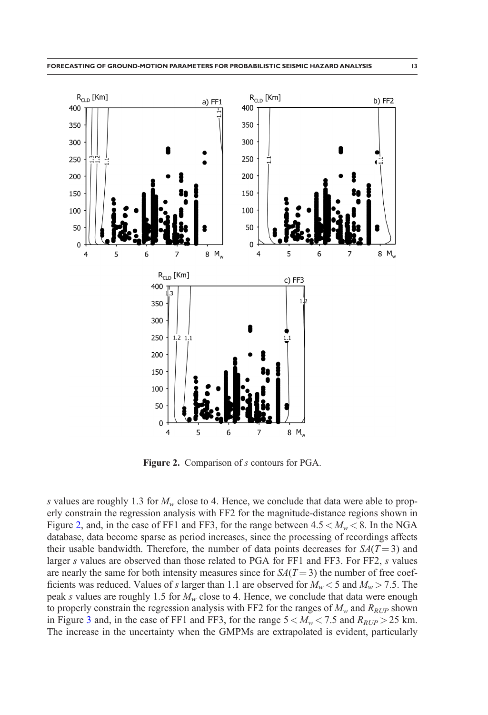<span id="page-12-0"></span>

Figure 2. Comparison of s contours for PGA.

s values are roughly 1.3 for  $M_w$  close to 4. Hence, we conclude that data were able to properly constrain the regression analysis with FF2 for the magnitude-distance regions shown in Figure 2, and, in the case of FF1 and FF3, for the range between  $4.5 < M<sub>w</sub> < 8$ . In the NGA database, data become sparse as period increases, since the processing of recordings affects their usable bandwidth. Therefore, the number of data points decreases for  $SA(T=3)$  and larger s values are observed than those related to PGA for FF1 and FF3. For FF2, s values are nearly the same for both intensity measures since for  $SA(T=3)$  the number of free coefficients was reduced. Values of s larger than 1.1 are observed for  $M_w < 5$  and  $M_w > 7.5$ . The peak s values are roughly 1.5 for  $M_w$  close to 4. Hence, we conclude that data were enough to properly constrain the regression analysis with FF2 for the ranges of  $M_w$  and  $R_{RUP}$  shown in Figure [3](#page-13-0) and, in the case of FF1 and FF3, for the range  $5 < M_w < 7.5$  and  $R_{RUP} > 25$  km. The increase in the uncertainty when the GMPMs are extrapolated is evident, particularly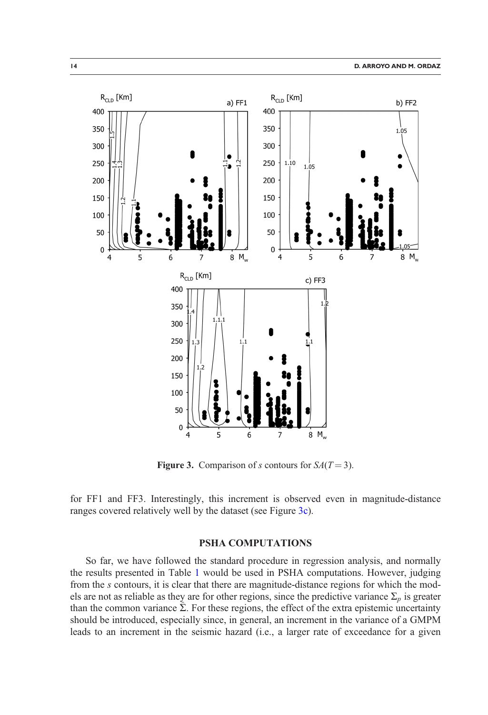<span id="page-13-0"></span>

**Figure 3.** Comparison of s contours for  $SA(T=3)$ .

for FF1 and FF3. Interestingly, this increment is observed even in magnitude-distance ranges covered relatively well by the dataset (see Figure 3c).

## PSHA COMPUTATIONS

So far, we have followed the standard procedure in regression analysis, and normally the results presented in Table [1](#page-7-0) would be used in PSHA computations. However, judging from the s contours, it is clear that there are magnitude-distance regions for which the models are not as reliable as they are for other regions, since the predictive variance  $\Sigma_p$  is greater than the common variance  $\Sigma$ . For these regions, the effect of the extra epistemic uncertainty should be introduced, especially since, in general, an increment in the variance of a GMPM leads to an increment in the seismic hazard (i.e., a larger rate of exceedance for a given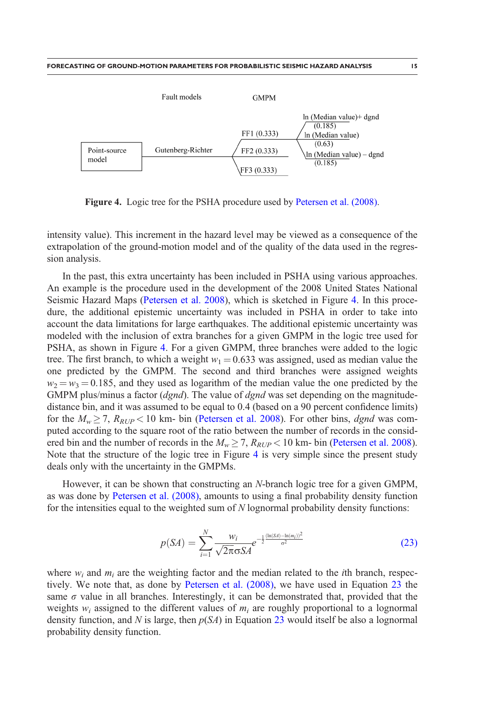<span id="page-14-0"></span>

Figure 4. Logic tree for the PSHA procedure used by [Petersen et al. \(2008\).](#page-20-0)

intensity value). This increment in the hazard level may be viewed as a consequence of the extrapolation of the ground-motion model and of the quality of the data used in the regression analysis.

In the past, this extra uncertainty has been included in PSHA using various approaches. An example is the procedure used in the development of the 2008 United States National Seismic Hazard Maps [\(Petersen et al. 2008](#page-20-0)), which is sketched in Figure 4. In this procedure, the additional epistemic uncertainty was included in PSHA in order to take into account the data limitations for large earthquakes. The additional epistemic uncertainty was modeled with the inclusion of extra branches for a given GMPM in the logic tree used for PSHA, as shown in Figure 4. For a given GMPM, three branches were added to the logic tree. The first branch, to which a weight  $w_1 = 0.633$  was assigned, used as median value the one predicted by the GMPM. The second and third branches were assigned weights  $w_2 = w_3 = 0.185$ , and they used as logarithm of the median value the one predicted by the GMPM plus/minus a factor  $(dgnd)$ . The value of  $dgnd$  was set depending on the magnitudedistance bin, and it was assumed to be equal to 0.4 (based on a 90 percent confidence limits) for the  $M_w \ge 7$ ,  $R_{RUP} < 10$  km- bin [\(Petersen et al. 2008\)](#page-20-0). For other bins, dgnd was computed according to the square root of the ratio between the number of records in the considered bin and the number of records in the  $M_w \ge 7$ ,  $R_{RUP} < 10$  km- bin ([Petersen et al. 2008](#page-20-0)). Note that the structure of the logic tree in Figure 4 is very simple since the present study deals only with the uncertainty in the GMPMs.

However, it can be shown that constructing an N-branch logic tree for a given GMPM, as was done by [Petersen et al. \(2008\),](#page-20-0) amounts to using a final probability density function for the intensities equal to the weighted sum of  $N$  lognormal probability density functions:

$$
p(SA) = \sum_{i=1}^{N} \frac{w_i}{\sqrt{2\pi}\sigma S A} e^{-\frac{1}{2} \frac{(\ln(SA) - \ln(m_i))^2}{\sigma^2}}
$$
(23)

where  $w_i$  and  $m_i$  are the weighting factor and the median related to the *i*th branch, respectively. We note that, as done by [Petersen et al. \(2008\),](#page-20-0) we have used in Equation 23 the same  $\sigma$  value in all branches. Interestingly, it can be demonstrated that, provided that the weights  $w_i$  assigned to the different values of  $m_i$  are roughly proportional to a lognormal density function, and N is large, then  $p(SA)$  in Equation 23 would itself be also a lognormal probability density function.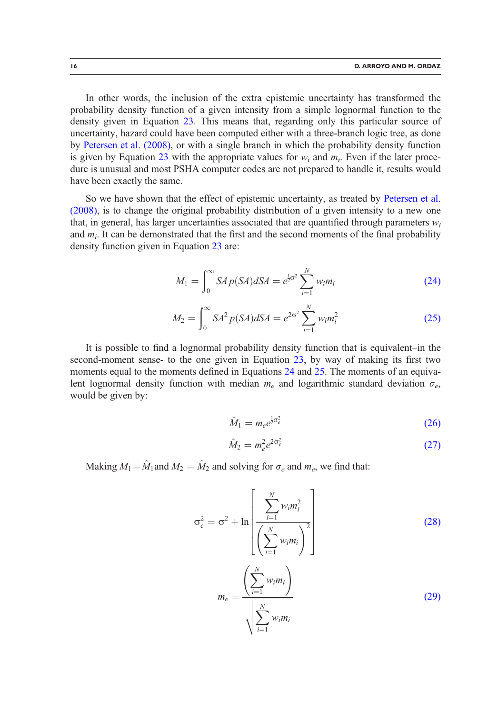<span id="page-15-0"></span>In other words, the inclusion of the extra epistemic uncertainty has transformed the probability density function of a given intensity from a simple lognormal function to the density given in Equation [23](#page-14-0). This means that, regarding only this particular source of uncertainty, hazard could have been computed either with a three-branch logic tree, as done by [Petersen et al. \(2008\)](#page-20-0), or with a single branch in which the probability density function is given by Equation [23](#page-14-0) with the appropriate values for  $w_i$  and  $m_i$ . Even if the later procedure is unusual and most PSHA computer codes are not prepared to handle it, results would have been exactly the same.

So we have shown that the effect of epistemic uncertainty, as treated by [Petersen et al.](#page-20-0) [\(2008\)](#page-20-0), is to change the original probability distribution of a given intensity to a new one that, in general, has larger uncertainties associated that are quantified through parameters  $w_i$ and  $m_i$ . It can be demonstrated that the first and the second moments of the final probability density function given in Equation [23](#page-14-0) are:

$$
M_1 = \int_0^\infty S A p(SA) dS A = e^{\frac{1}{2}\sigma^2} \sum_{i=1}^N w_i m_i
$$
 (24)

$$
M_2 = \int_0^\infty S A^2 p(SA) dS A = e^{2\sigma^2} \sum_{i=1}^N w_i m_i^2
$$
 (25)

It is possible to find a lognormal probability density function that is equivalent–in the second-moment sense- to the one given in Equation [23,](#page-14-0) by way of making its first two moments equal to the moments defined in Equations 24 and 25. The moments of an equivalent lognormal density function with median  $m_e$  and logarithmic standard deviation  $\sigma_e$ , would be given by:

$$
\hat{M}_1 = m_e e^{\frac{1}{2}\sigma_e^2} \tag{26}
$$

$$
\hat{M}_2 = m_e^2 e^{2\sigma_e^2} \tag{27}
$$

Making  $M_1 = \hat{M}_1$  and  $M_2 = \hat{M}_2$  and solving for  $\sigma_e$  and  $m_e$ , we find that:

$$
\sigma_e^2 = \sigma^2 + \ln \left[ \frac{\sum_{i=1}^N w_i m_i^2}{\left(\sum_{i=1}^N w_i m_i\right)^2} \right]
$$
\n
$$
m_e = \frac{\left(\sum_{i=1}^N w_i m_i\right)}{\sqrt{\sum_{i=1}^N w_i m_i}}
$$
\n(29)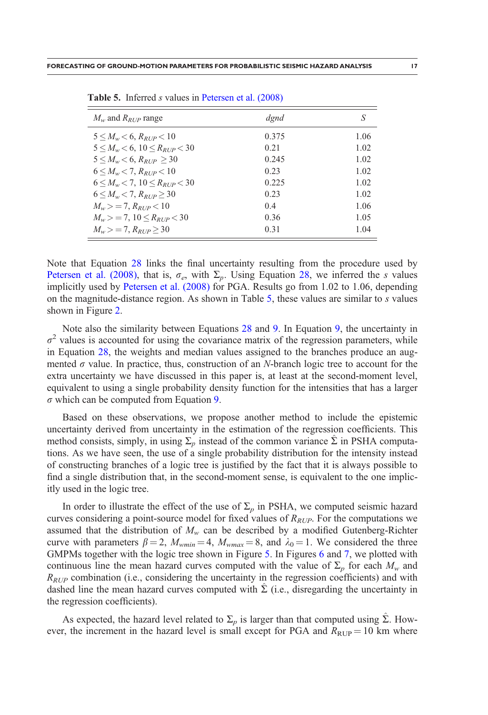|  |  | <u> 1980 - An t-Albany a t-Albany a t-Albany a t-Albany a t-Albany a t-Albany a t-Albany a t-Albany a t-Albany a</u> |
|--|--|----------------------------------------------------------------------------------------------------------------------|
|  |  |                                                                                                                      |
|  |  |                                                                                                                      |

| $M_w$ and $R_{RUP}$ range                       | dgnd  | S    |
|-------------------------------------------------|-------|------|
| $5 \leq M_w \leq 6$ , $R_{RI/P} \leq 10$        | 0.375 | 1.06 |
| $5 \leq M_w \leq 6$ , $10 \leq R_{RIP} \leq 30$ | 0.21  | 1.02 |
| $5 \leq M_w \leq 6$ , $R_{RID} > 30$            | 0.245 | 1.02 |
| $6 \leq M_w \leq 7$ , $R_{RIP} \leq 10$         | 0.23  | 1.02 |
| $6 \leq M_{\rm w} < 7, 10 \leq R_{RUP} < 30$    | 0.225 | 1.02 |
| $6 \leq M_w \leq 7$ , $R_{RID} > 30$            | 0.23  | 1.02 |
| $M_w > 7$ , $R_{RIP} < 10$                      | 0.4   | 1.06 |
| $M_{w}$ > = 7, 10 $\leq R_{BID}$ < 30           | 0.36  | 1.05 |
| $M_w > 7$ , $R_{BID} > 30$                      | 0.31  | 1.04 |

Table 5. Inferred *s* values in [Petersen et al. \(2008\)](#page-20-0)

Note that Equation [28](#page-15-0) links the final uncertainty resulting from the procedure used by [Petersen et al. \(2008\)](#page-20-0), that is,  $\sigma_e$ , with  $\Sigma_p$ . Using Equation [28,](#page-15-0) we inferred the s values implicitly used by [Petersen et al. \(2008\)](#page-20-0) for PGA. Results go from 1.02 to 1.06, depending on the magnitude-distance region. As shown in Table 5, these values are similar to s values shown in Figure [2](#page-12-0).

Note also the similarity between Equations [28](#page-15-0) and [9](#page-3-0). In Equation [9](#page-3-0), the uncertainty in  $\sigma^2$  values is accounted for using the covariance matrix of the regression parameters, while in Equation [28](#page-15-0), the weights and median values assigned to the branches produce an augmented  $\sigma$  value. In practice, thus, construction of an N-branch logic tree to account for the extra uncertainty we have discussed in this paper is, at least at the second-moment level, equivalent to using a single probability density function for the intensities that has a larger  $\sigma$  which can be computed from Equation [9](#page-3-0).

Based on these observations, we propose another method to include the epistemic uncertainty derived from uncertainty in the estimation of the regression coefficients. This method consists, simply, in using  $\Sigma_p$  instead of the common variance  $\hat{\Sigma}$  in PSHA computations. As we have seen, the use of a single probability distribution for the intensity instead of constructing branches of a logic tree is justified by the fact that it is always possible to find a single distribution that, in the second-moment sense, is equivalent to the one implicitly used in the logic tree.

In order to illustrate the effect of the use of  $\Sigma_p$  in PSHA, we computed seismic hazard curves considering a point-source model for fixed values of  $R_{RUP}$ . For the computations we assumed that the distribution of  $M_w$  can be described by a modified Gutenberg-Richter curve with parameters  $\beta = 2$ ,  $M_{wmin} = 4$ ,  $M_{wmax} = 8$ , and  $\lambda_0 = 1$ . We considered the three GMPMs together with the logic tree shown in Figure [5.](#page-17-0) In Figures [6](#page-17-0) and [7,](#page-18-0) we plotted with continuous line the mean hazard curves computed with the value of  $\Sigma_p$  for each  $M_w$  and  $R_{RUP}$  combination (i.e., considering the uncertainty in the regression coefficients) and with dashed line the mean hazard curves computed with  $\Sigma$  (i.e., disregarding the uncertainty in the regression coefficients).

As expected, the hazard level related to  $\Sigma_p$  is larger than that computed using  $\hat{\Sigma}$ . However, the increment in the hazard level is small except for PGA and  $R_{\text{RUP}} = 10$  km where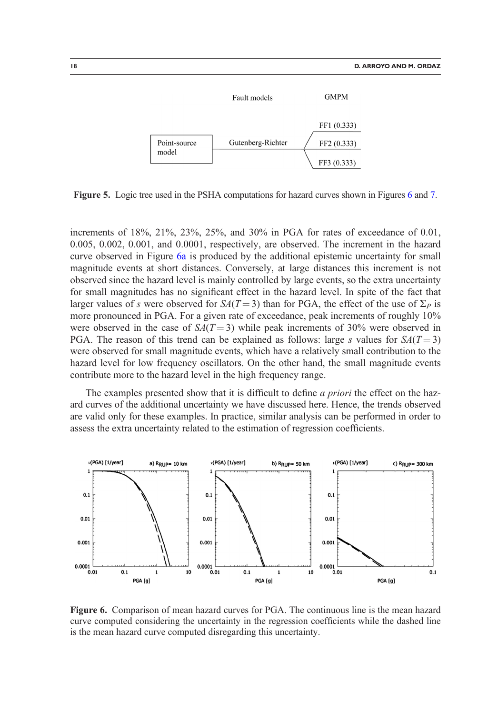<span id="page-17-0"></span>

Figure 5. Logic tree used in the PSHA computations for hazard curves shown in Figures 6 and [7](#page-18-0).

increments of 18%, 21%, 23%, 25%, and 30% in PGA for rates of exceedance of 0.01, 0.005, 0.002, 0.001, and 0.0001, respectively, are observed. The increment in the hazard curve observed in Figure 6a is produced by the additional epistemic uncertainty for small magnitude events at short distances. Conversely, at large distances this increment is not observed since the hazard level is mainly controlled by large events, so the extra uncertainty for small magnitudes has no significant effect in the hazard level. In spite of the fact that larger values of s were observed for  $S_A(T=3)$  than for PGA, the effect of the use of  $\Sigma_P$  is more pronounced in PGA. For a given rate of exceedance, peak increments of roughly 10% were observed in the case of  $S_A(T=3)$  while peak increments of 30% were observed in PGA. The reason of this trend can be explained as follows: large s values for  $S_A(T=3)$ were observed for small magnitude events, which have a relatively small contribution to the hazard level for low frequency oscillators. On the other hand, the small magnitude events contribute more to the hazard level in the high frequency range.

The examples presented show that it is difficult to define *a priori* the effect on the hazard curves of the additional uncertainty we have discussed here. Hence, the trends observed are valid only for these examples. In practice, similar analysis can be performed in order to assess the extra uncertainty related to the estimation of regression coefficients.



Figure 6. Comparison of mean hazard curves for PGA. The continuous line is the mean hazard curve computed considering the uncertainty in the regression coefficients while the dashed line is the mean hazard curve computed disregarding this uncertainty.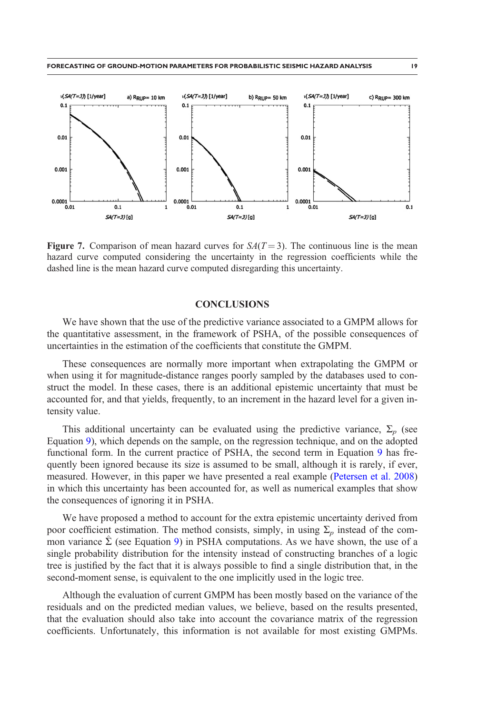<span id="page-18-0"></span>

Figure 7. Comparison of mean hazard curves for  $S_A(T=3)$ . The continuous line is the mean hazard curve computed considering the uncertainty in the regression coefficients while the dashed line is the mean hazard curve computed disregarding this uncertainty.

#### **CONCLUSIONS**

We have shown that the use of the predictive variance associated to a GMPM allows for the quantitative assessment, in the framework of PSHA, of the possible consequences of uncertainties in the estimation of the coefficients that constitute the GMPM.

These consequences are normally more important when extrapolating the GMPM or when using it for magnitude-distance ranges poorly sampled by the databases used to construct the model. In these cases, there is an additional epistemic uncertainty that must be accounted for, and that yields, frequently, to an increment in the hazard level for a given intensity value.

This additional uncertainty can be evaluated using the predictive variance,  $\Sigma_n$  (see Equation [9](#page-3-0)), which depends on the sample, on the regression technique, and on the adopted functional form. In the current practice of PSHA, the second term in Equation [9](#page-3-0) has frequently been ignored because its size is assumed to be small, although it is rarely, if ever, measured. However, in this paper we have presented a real example ([Petersen et al. 2008](#page-20-0)) in which this uncertainty has been accounted for, as well as numerical examples that show the consequences of ignoring it in PSHA.

We have proposed a method to account for the extra epistemic uncertainty derived from poor coefficient estimation. The method consists, simply, in using  $\Sigma_p$  instead of the common variance  $\hat{\Sigma}$  (see Equation [9](#page-3-0)) in PSHA computations. As we have shown, the use of a single probability distribution for the intensity instead of constructing branches of a logic tree is justified by the fact that it is always possible to find a single distribution that, in the second-moment sense, is equivalent to the one implicitly used in the logic tree.

Although the evaluation of current GMPM has been mostly based on the variance of the residuals and on the predicted median values, we believe, based on the results presented, that the evaluation should also take into account the covariance matrix of the regression coefficients. Unfortunately, this information is not available for most existing GMPMs.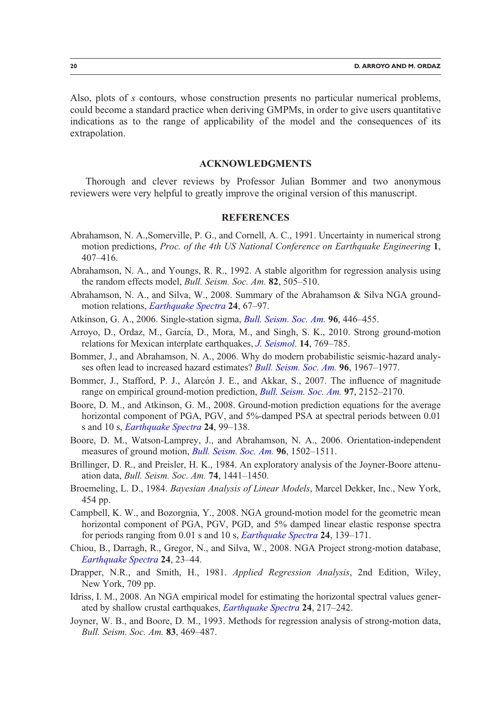<span id="page-19-0"></span>Also, plots of s contours, whose construction presents no particular numerical problems, could become a standard practice when deriving GMPMs, in order to give users quantitative indications as to the range of applicability of the model and the consequences of its extrapolation.

## ACKNOWLEDGMENTS

Thorough and clever reviews by Professor Julian Bommer and two anonymous reviewers were very helpful to greatly improve the original version of this manuscript.

## **REFERENCES**

- Abrahamson, N. A.,Somerville, P. G., and Cornell, A. C., 1991. Uncertainty in numerical strong motion predictions, Proc. of the 4th US National Conference on Earthquake Engineering 1, 407–416.
- Abrahamson, N. A., and Youngs, R. R., 1992. A stable algorithm for regression analysis using the random effects model, Bull. Seism. Soc. Am. 82, 505-510.
- Abrahamson, N. A., and Silva, W., 2008. Summary of the Abrahamson & Silva NGA groundmotion relations, *[Earthquake Spectra](http://dx.doi.org/10.1193/1.2924360)* 24, 67-97.
- Atkinson, G. A., 2006. Single-station sigma, *[Bull. Seism. Soc. Am.](http://dx.doi.org/10.1785/0120050137)* 96, 446–455.
- Arroyo, D., Ordaz, M., García, D., Mora, M., and Singh, S. K., 2010. Strong ground-motion relations for Mexican interplate earthquakes, *[J. Seismol](http://dx.doi.org/10.1007/s10950-010-9200-0)*. **14**, 769–785.
- Bommer, J., and Abrahamson, N. A., 2006. Why do modern probabilistic seismic-hazard analy-ses often lead to increased hazard estimates? [Bull. Seism. Soc. Am.](http://dx.doi.org/10.1785/0120060043) 96, 1967-1977.
- Bommer, J., Stafford, P. J., Alarcón J. E., and Akkar, S., 2007. The influence of magnitude range on empirical ground-motion prediction, *[Bull. Seism. Soc. Am.](http://dx.doi.org/10.1785/0120070081)* 97, 2152–2170.
- Boore, D. M., and Atkinson, G. M., 2008. Ground-motion prediction equations for the average horizontal component of PGA, PGV, and 5%-damped PSA at spectral periods between 0.01 s and 10 s, *[Earthquake Spectra](http://dx.doi.org/10.1193/1.2830434)* 24, 99–138.
- Boore, D. M., Watson-Lamprey, J., and Abrahamson, N. A., 2006. Orientation-independent measures of ground motion, *[Bull. Seism. Soc. Am.](http://dx.doi.org/10.1785/0120050209)* 96, 1502-1511.
- Brillinger, D. R., and Preisler, H. K., 1984. An exploratory analysis of the Joyner-Boore attenuation data, Bull. Seism. Soc. Am. 74, 1441–1450.
- Broemeling, L. D., 1984. Bayesian Analysis of Linear Models, Marcel Dekker, Inc., New York, 454 pp.
- Campbell, K. W., and Bozorgnia, Y., 2008. NGA ground-motion model for the geometric mean horizontal component of PGA, PGV, PGD, and 5% damped linear elastic response spectra for periods ranging from 0.01 s and 10 s, *[Earthquake Spectra](http://dx.doi.org/10.1193/1.2857546)* 24, 139–171.
- Chiou, B., Darragh, R., Gregor, N., and Silva, W., 2008. NGA Project strong-motion database, [Earthquake Spectra](http://dx.doi.org/10.1193/1.2894831) 24, 23–44.
- Drapper, N.R., and Smith, H., 1981. Applied Regression Analysis, 2nd Edition, Wiley, New York, 709 pp.
- Idriss, I. M., 2008. An NGA empirical model for estimating the horizontal spectral values generated by shallow crustal earthquakes, *[Earthquake Spectra](http://dx.doi.org/10.1193/1.2924362)* 24, 217–242.
- Joyner, W. B., and Boore, D. M., 1993. Methods for regression analysis of strong-motion data, Bull. Seism. Soc. Am. 83, 469–487.